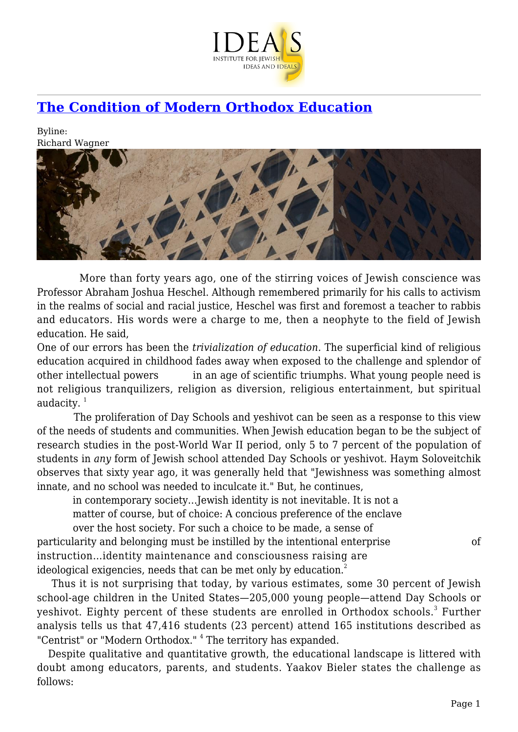

## **[The Condition of Modern Orthodox Education](https://www.jewishideas.org/article/condition-modern-orthodox-education)**

Byline: Richard Wagner



 More than forty years ago, one of the stirring voices of Jewish conscience was Professor Abraham Joshua Heschel. Although remembered primarily for his calls to activism in the realms of social and racial justice, Heschel was first and foremost a teacher to rabbis and educators. His words were a charge to me, then a neophyte to the field of Jewish education. He said,

One of our errors has been the *trivialization of education.* The superficial kind of religious education acquired in childhood fades away when exposed to the challenge and splendor of other intellectual powers in an age of scientific triumphs. What young people need is not religious tranquilizers, religion as diversion, religious entertainment, but spiritual audacity. $1$ 

 The proliferation of Day Schools and yeshivot can be seen as a response to this view of the needs of students and communities. When Jewish education began to be the subject of research studies in the post-World War II period, only 5 to 7 percent of the population of students in *any* form of Jewish school attended Day Schools or yeshivot. Haym Soloveitchik observes that sixty year ago, it was generally held that "Jewishness was something almost innate, and no school was needed to inculcate it." But, he continues,

 in contemporary society…Jewish identity is not inevitable. It is not a matter of course, but of choice: A concious preference of the enclave

 over the host society. For such a choice to be made, a sense of particularity and belonging must be instilled by the intentional enterprise of instruction…identity maintenance and consciousness raising are ideological exigencies, needs that can be met only by education.<sup>2</sup>

 Thus it is not surprising that today, by various estimates, some 30 percent of Jewish school-age children in the United States—205,000 young people—attend Day Schools or yeshivot. Eighty percent of these students are enrolled in Orthodox schools. $^3$  Further analysis tells us that 47,416 students (23 percent) attend 165 institutions described as "Centrist" or "Modern Orthodox."<sup>4</sup> The territory has expanded.

 Despite qualitative and quantitative growth, the educational landscape is littered with doubt among educators, parents, and students. Yaakov Bieler states the challenge as follows: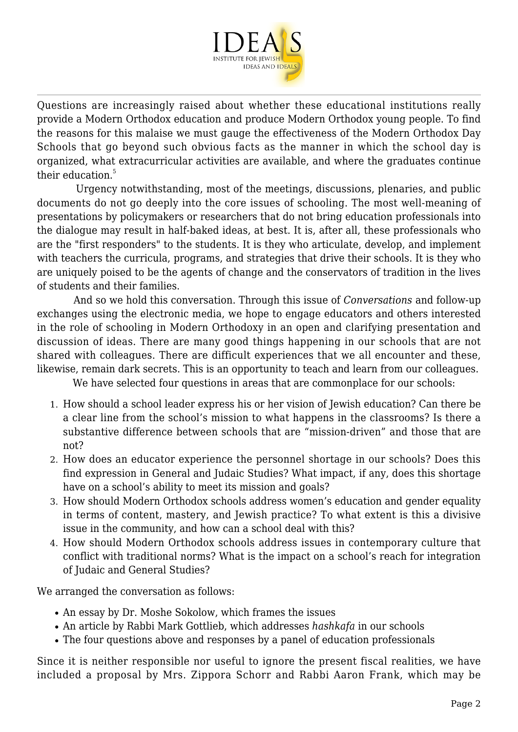

Questions are increasingly raised about whether these educational institutions really provide a Modern Orthodox education and produce Modern Orthodox young people. To find the reasons for this malaise we must gauge the effectiveness of the Modern Orthodox Day Schools that go beyond such obvious facts as the manner in which the school day is organized, what extracurricular activities are available, and where the graduates continue their education. $5$ 

 Urgency notwithstanding, most of the meetings, discussions, plenaries, and public documents do not go deeply into the core issues of schooling. The most well-meaning of presentations by policymakers or researchers that do not bring education professionals into the dialogue may result in half-baked ideas, at best. It is, after all, these professionals who are the "first responders" to the students. It is they who articulate, develop, and implement with teachers the curricula, programs, and strategies that drive their schools. It is they who are uniquely poised to be the agents of change and the conservators of tradition in the lives of students and their families.

 And so we hold this conversation. Through this issue of *Conversations* and follow-up exchanges using the electronic media, we hope to engage educators and others interested in the role of schooling in Modern Orthodoxy in an open and clarifying presentation and discussion of ideas. There are many good things happening in our schools that are not shared with colleagues. There are difficult experiences that we all encounter and these, likewise, remain dark secrets. This is an opportunity to teach and learn from our colleagues.

We have selected four questions in areas that are commonplace for our schools:

- 1. How should a school leader express his or her vision of Jewish education? Can there be a clear line from the school's mission to what happens in the classrooms? Is there a substantive difference between schools that are "mission-driven" and those that are not?
- 2. How does an educator experience the personnel shortage in our schools? Does this find expression in General and Judaic Studies? What impact, if any, does this shortage have on a school's ability to meet its mission and goals?
- 3. How should Modern Orthodox schools address women's education and gender equality in terms of content, mastery, and Jewish practice? To what extent is this a divisive issue in the community, and how can a school deal with this?
- 4. How should Modern Orthodox schools address issues in contemporary culture that conflict with traditional norms? What is the impact on a school's reach for integration of Judaic and General Studies?

We arranged the conversation as follows:

- An essay by Dr. Moshe Sokolow, which frames the issues
- An article by Rabbi Mark Gottlieb, which addresses *hashkafa* in our schools
- The four questions above and responses by a panel of education professionals

Since it is neither responsible nor useful to ignore the present fiscal realities, we have included a proposal by Mrs. Zippora Schorr and Rabbi Aaron Frank, which may be